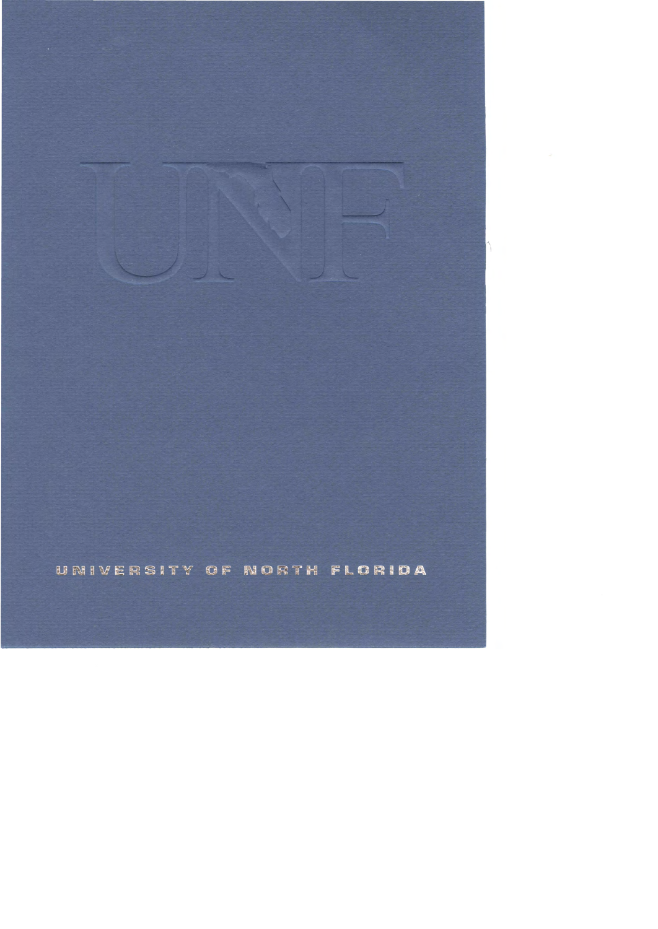UNIVERSITY OF NORTH FLORIDA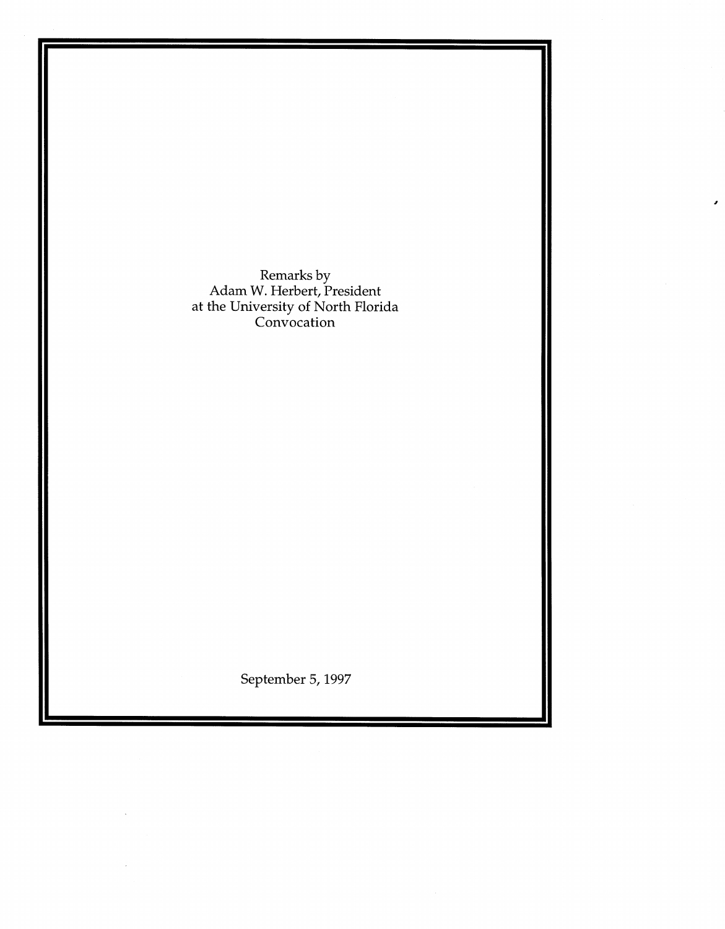Remarks by Adam W. Herbert, President at the University of North Florida Convocation

September 5, 1997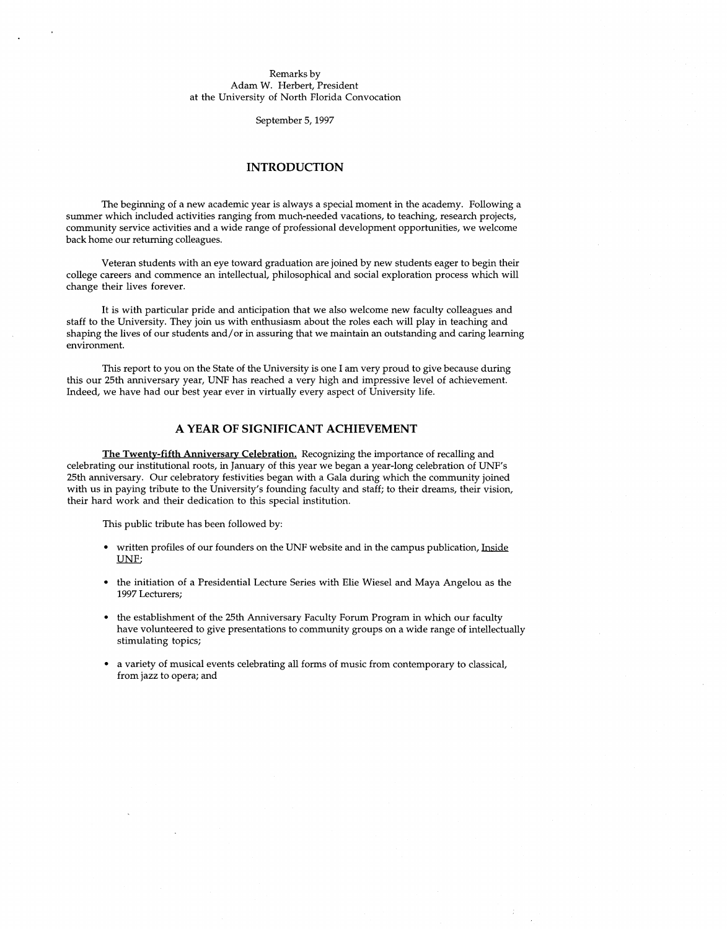#### Remarks by Adam W. Herbert, President at the University of North Florida Convocation

September 5, 1997

### **INTRODUCTION**

The beginning of a new academic year is always a special moment in the academy. Following a summer which included activities ranging from much-needed vacations, to teaching, research projects, community service activities and a wide range of professional development opportunities, we welcome back home our returning colleagues.

Veteran students with an eye toward graduation are joined by new students eager to begin their college careers and commence an intellectual, philosophical and social exploration process which will change their lives forever.

It is with particular pride and anticipation that we also welcome new faculty colleagues and staff to the University. They join us with enthusiasm about the roles each will play in teaching and shaping the lives of our students and/ or in assuring that we maintain an outstanding and caring learning environment.

This report to you on the State of the University is one I am very proud to give because during this our 25th anniversary year, UNF has reached a very high and impressive level of achievement. Indeed, we have had our best year ever in virtually every aspect of University life.

# **A YEAR OF SIGNIFICANT ACHIEVEMENT**

**The Twenty-fifth Anniversary Celebration.** Recognizing the importance of recalling and celebrating our institutional roots, in January of this year we began a year-long celebration of UNF's 25th anniversary. Our celebratory festivities began with a Gala during which the community joined with us in paying tribute to the University's founding faculty and staff; to their dreams, their vision, their hard work and their dedication to this special institution.

This public tribute has been followed by:

- written profiles of our founders on the UNF website and in the campus publication, Inside UNF;
- the initiation of a Presidential Lecture Series with Elie Wiesel and Maya Angelou as the 1997 Lecturers;
- the establishment of the 25th Anniversary Faculty Forum Program in which our faculty have volunteered to give presentations to community groups on a wide range of intellectually stimulating topics;
- a variety of musical events celebrating all forms of music from contemporary to classical, from jazz to opera; and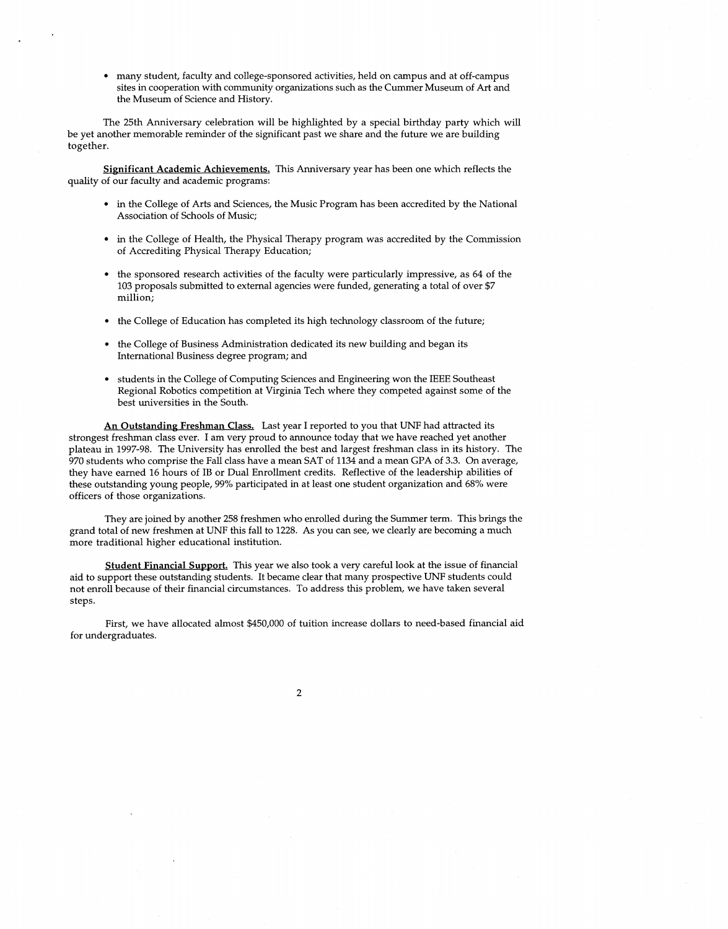• many student, faculty and college-sponsored activities, held on campus and at off-campus sites in cooperation with community organizations such as the Cummer Museum of Art and the Museum of Science and History.

The 25th Anniversary celebration will be highlighted by a special birthday party which will be yet another memorable reminder of the significant past we share and the future we are building together.

**Significant Academic Achievements.** This Anniversary year has been one which reflects the quality of our faculty and academic programs:

- in the College of Arts and Sciences, the Music Program has been accredited by the National Association of Schools of Music;
- in the College of Health, the Physical Therapy program was accredited by the Commission of Accrediting Physical Therapy Education;
- the sponsored research activities of the faculty were particularly impressive, as 64 of the 103 proposals submitted to external agencies were funded, generating a total of over \$7 million;
- the College of Education has completed its high technology classroom of the future;
- the College of Business Administration dedicated its new building and began its International Business degree program; and
- students in the College of Computing Sciences and Engineering won the IEEE Southeast Regional Robotics competition at Virginia Tech where they competed against some of the best universities in the South.

**An Outstanding Freshman Class.** Last year I reported to you that UNF had attracted its strongest freshman class ever. I am very proud to announce today that we have reached yet another plateau in 1997-98. The University has enrolled the best and largest freshman class in its history. The 970 students who comprise the Fall class have a mean SAT of 1134 and a mean GPA of 3.3. On average, they have earned 16 hours of 1B or Dual Enrollment credits. Reflective of the leadership abilities of these outstanding young people, 99% participated in at least one student organization and 68% were officers of those organizations.

They are joined by another 258 freshmen who enrolled during the Summer term. This brings the grand total of new freshmen at UNF this fall to 1228. As you can see, we clearly are becoming a much more traditional higher educational institution.

**Student Financial Support.** This year we also took a very careful look at the issue of financial aid to support these outstanding students. It became clear that many prospective UNF students could not enroll because of their financial circumstances. To address this problem, we have taken several steps.

First, we have allocated almost \$450,000 of tuition increase dollars to need-based financial aid for undergraduates.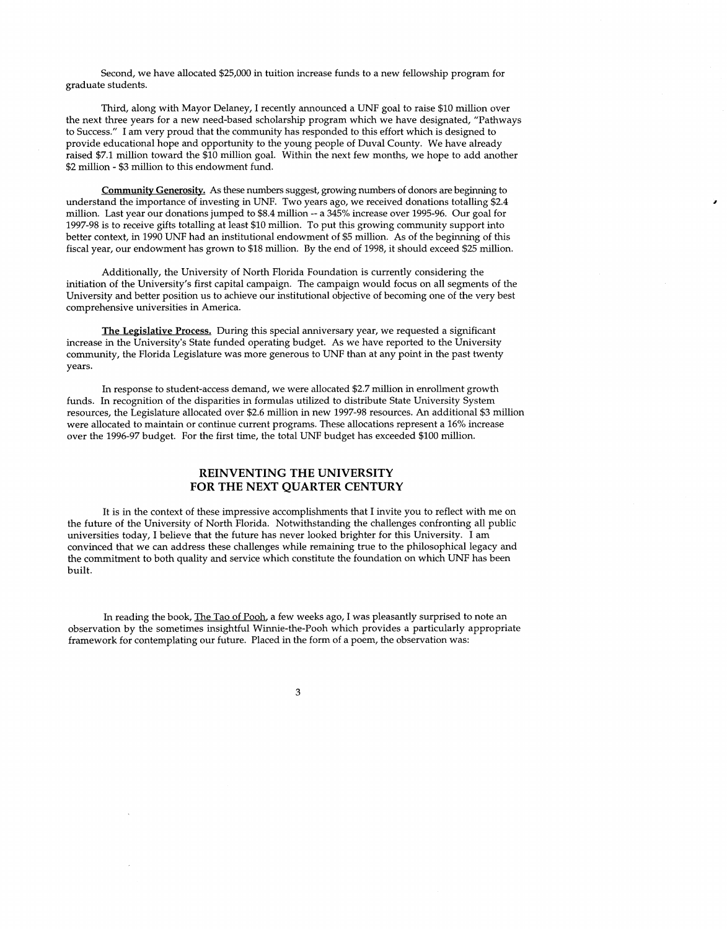Second, we have allocated \$25,000 in tuition increase funds to a new fellowship program for graduate students.

Third, along with Mayor Delaney, I recently announced a UNF goal to raise \$10 million over the next three years for a new need-based scholarship program which we have designated, "Pathways to Success." I am very proud that the community has responded to this effort which is designed to provide educational hope and opportunity to the young people of Duval County. We have already raised \$7.1 million toward the \$10 million goal. Within the next few months, we hope to add another \$2 million - \$3 million to this endowment fund.

**Community Generosity.** As these numbers suggest, growing numbers of donors are beginning to understand the importance of investing in UNF. Two years ago, we received donations totalling \$2.4 million. Last year our donations jumped to \$8.4 million -- a 345% increase over 1995-96. Our goal for 1997-98 is to receive gifts totalling at least \$10 million. To put this growing community support into better context, in 1990 UNF had an institutional endowment of \$5 million. As of the beginning of this fiscal year, our endowment has grown to \$18 million. By the end of 1998, it should exceed \$25 million.

Additionally, the University of North Florida Foundation is currently considering the initiation of the University's first capital campaign. The campaign would focus on all segments of the University and better position us to achieve our institutional objective of becoming one of the very best comprehensive universities in America.

**The Legislative Process.** During this special anniversary year, we requested a significant increase in the University's State funded operating budget. As we have reported to the University community, the Florida Legislature was more generous to UNF than at any point in the past twenty years.

In response to student-access demand, we were allocated \$2.7 million in enrollment growth funds. In recognition of the disparities in formulas utilized to distribute State University System resources, the Legislature allocated over \$2.6 million in new 1997-98 resources. An additional \$3 million were allocated to maintain or continue current programs. These allocations represent a 16% increase over the 1996-97 budget. For the first time, the total UNF budget has exceeded \$100 million.

## **REINVENTING THE UNIVERSITY FOR THE NEXT QUARTER CENTURY**

It is in the context of these impressive accomplishments that I invite you to reflect with me on the future of the University of North Florida. Notwithstanding the challenges confronting all public universities today, I believe that the future has never looked brighter for this University. I am convinced that we can address these challenges while remaining true to the philosophical legacy and the commitment to both quality and service which constitute the foundation on which UNF has been built.

In reading the book, The Tao of Pooh, a few weeks ago, I was pleasantly surprised to note an observation by the sometimes insightful Winnie-the-Pooh which provides a particularly appropriate framework for contemplating our future. Placed in the form of a poem, the observation was: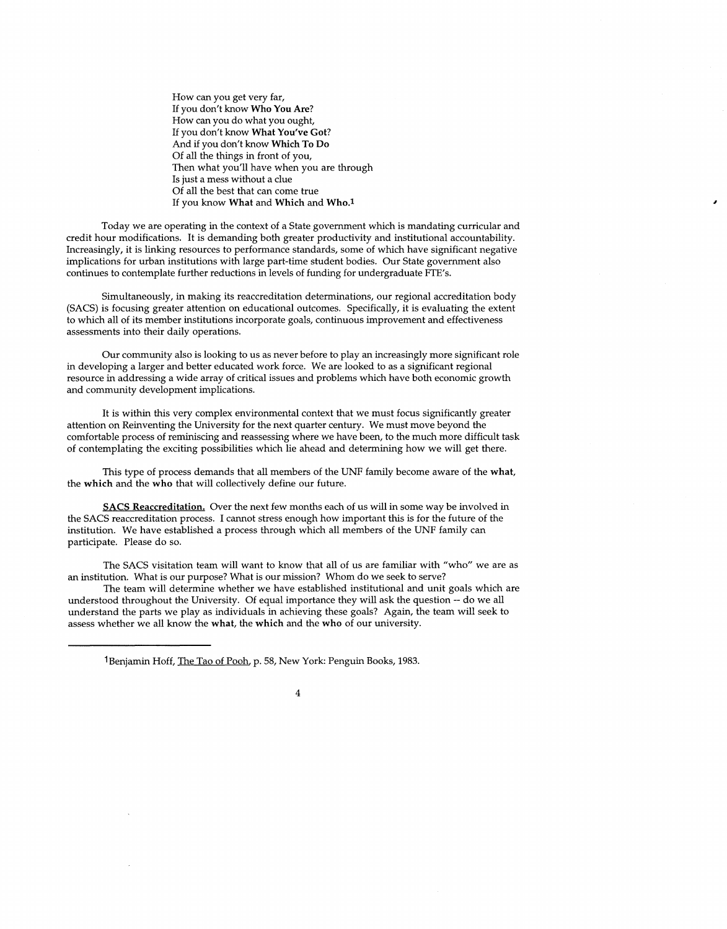How can you get very far, If you don't know **Who You Are?**  How can you do what you ought, If you don't know **What You've Got?**  And if you don't know **Which To Do**  Of all the things in front of you, Then what you'll have when you are through Is just a mess without a clue Of all the best that can come true If you know **What** and **Which** and **Who.1** 

Today we are operating in the context of a State government which is mandating curricular and credit hour modifications. It is demanding both greater productivity and institutional accountability. Increasingly, it is linking resources to performance standards, some of which have significant negative implications for urban institutions with large part-time student bodies. Our State government also continues to contemplate further reductions in levels of funding for undergraduate FTE's.

Simultaneously, in making its reaccreditation determinations, our regional accreditation body (SACS) is focusing greater attention on educational outcomes. Specifically, it is evaluating the extent to which all of its member institutions incorporate goals, continuous improvement and effectiveness assessments into their daily operations.

Our community also is looking to us as never before to play an increasingly more significant role in developing a larger and better educated work force. We are looked to as a significant regional resource in addressing a wide array of critical issues and problems which have both economic growth and community development implications.

It is within this very complex environmental context that we must focus significantly greater attention on Reinventing the University for the next quarter century. We must move beyond the comfortable process of reminiscing and reassessing where we have been, to the much more difficult task of contemplating the exciting possibilities which lie ahead and determining how we will get there.

This type of process demands that all members of the UNF family become aware of the **what,**  the **which** and the **who** that will collectively define our future.

**SACS Reaccreditation.** Over the next few months each of us will in some way be involved in the SACS reaccreditation process. I cannot stress enough how important this is for the future of the institution. We have established a process through which all members of the UNF family can participate. Please do so.

The SACS visitation team will want to know that all of us are familiar with "who" we are as an institution. What is our purpose? What is our mission? Whom do we seek to serve?

The team will determine whether we have established institutional and unit goals which are understood throughout the University. Of equal importance they will ask the question -- do we all understand the parts we play as individuals in achieving these goals? Again, the team will seek to assess whether we all know the **what,** the **which** and the **who** of our university.

<sup>1</sup> Benjamin Hoff, The Tao of Pooh, p. 58, New York: Penguin Books, 1983.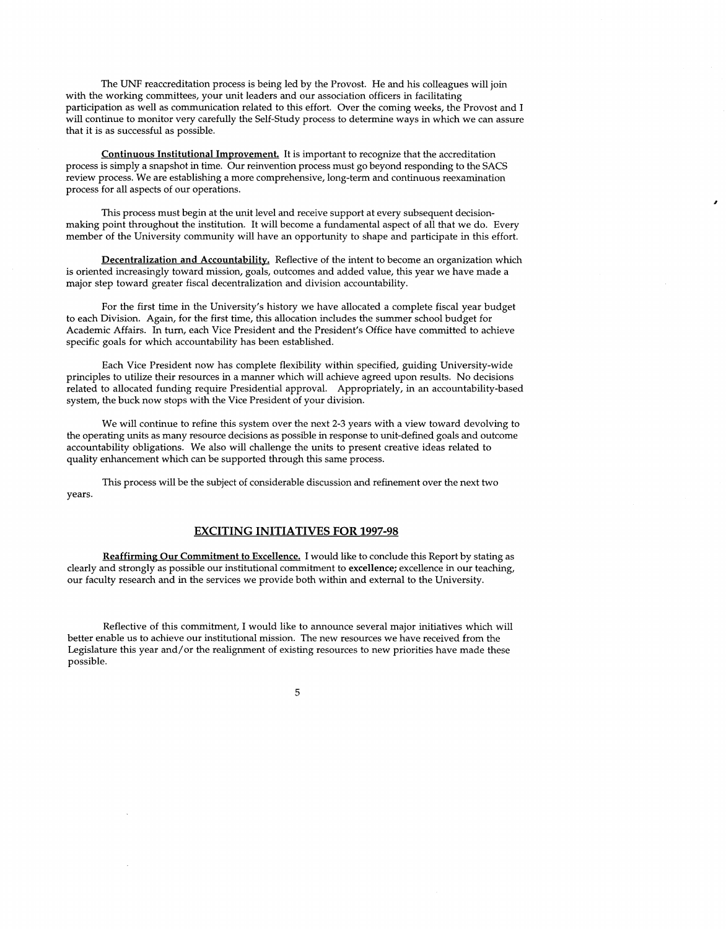The UNF reaccreditation process is being led by the Provost. He and his colleagues will join with the working committees, your unit leaders and our association officers in facilitating participation as well as communication related to this effort. Over the coming weeks, the Provost and I will continue to monitor very carefully the Self-Study process to determine ways in which we can assure that it is as successful as possible.

**Continuous Institutional Improvement.** It is important to recognize that the accreditation process is simply a snapshot in time. Our reinvention process must go beyond responding to the SACS review process. We are establishing a more comprehensive, long-term and continuous reexamination process for all aspects of our operations.

This process must begin at the unit level and receive support at every subsequent decisionmaking point throughout the institution. It will become a fundamental aspect of all that we do. Every member of the University community will have an opportunity to shape and participate in this effort.

**Decentralization and Accountability.** Reflective of the intent to become an organization which is oriented increasingly toward mission, goals, outcomes and added value, this year we have made a major step toward greater fiscal decentralization and division accountability.

For the first time in the University's history we have allocated a complete fiscal year budget to each Division. Again, for the first time, this allocation includes the summer school budget for Academic Affairs. In turn, each Vice President and the President's Office have committed to achieve specific goals for which accountability has been established.

Each Vice President now has complete flexibility within specified, guiding University-wide principles to utilize their resources in a manner which will achieve agreed upon results. No decisions related to allocated funding require Presidential approval. Appropriately, in an accountability-based system, the buck now stops with the Vice President of your division.

We will continue to refine this system over the next 2-3 years with a view toward devolving to the operating units as many resource decisions as possible in response to unit-defined goals and outcome accountability obligations. We also will challenge the units to present creative ideas related to quality enhancement which can be supported through this same process.

This process will be the subject of considerable discussion and refinement over the next two years.

#### **EXCITING INITIATIVES FOR 1997-98**

**Reaffirming Our Commitment to Excellence.** I would like to conclude this Report by stating as clearly and strongly as possible our institutional commitment to **excellence;** excellence in our teaching, our faculty research and in the services we provide both within and external to the University.

Reflective of this commitment, I would like to announce several major initiatives which will better enable us to achieve our institutional mission. The new resources we have received from the Legislature this year and/ or the realignment of existing resources to new priorities have made these possible.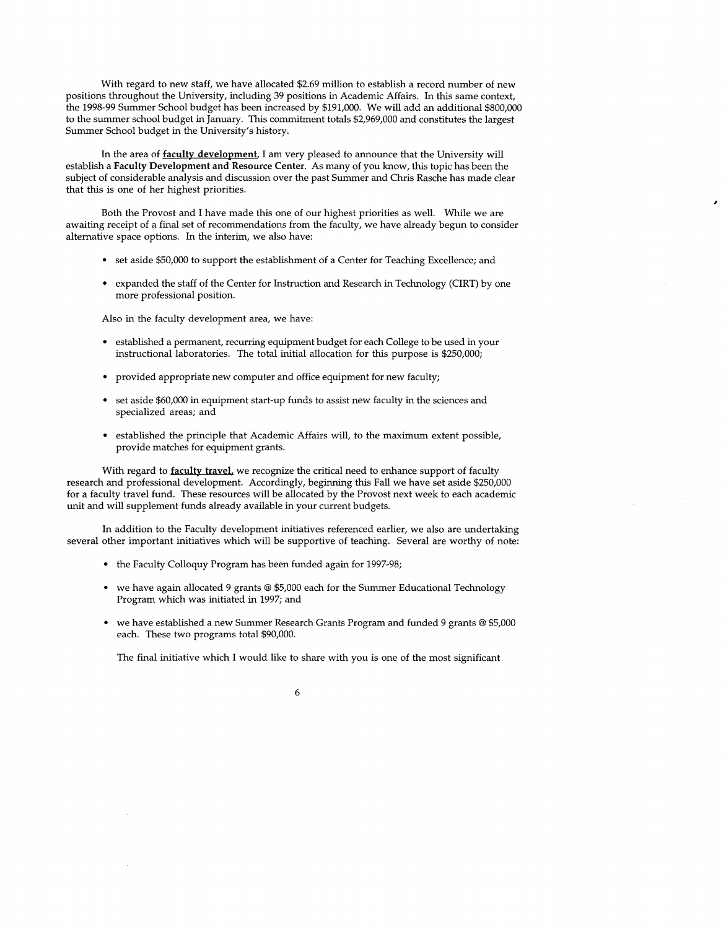With regard to new staff, we have allocated \$2.69 million to establish a record number of new positions throughout the University, including 39 positions in Academic Affairs. In this same context, the 1998-99 Summer School budget has been increased by \$191,000. We will add an additional \$800,000 to the summer school budget in January. This commitment totals \$2,969,000 and constitutes the largest Summer School budget in the University's history.

In the area of **faculty development,** I am very pleased to announce that the University will establish a **Faculty Development and Resource Center.** As many of you know, this topic has been the subject of considerable analysis and discussion over the past Summer and Chris Rasche has made clear that this is one of her highest priorities.

Both the Provost and I have made this one of our highest priorities as well. While we are awaiting receipt of a final set of recommendations from the faculty, we have already begun to consider alternative space options. In the interim, we also have:

- set aside \$50,000 to support the establishment of a Center for Teaching Excellence; and
- expanded the staff of the Center for Instruction and Research in Technology (CIRT) by one more professional position.

Also in the faculty development area, we have:

- established a permanent, recurring equipment budget for each College to be used in your instructional laboratories. The total initial allocation for this purpose is \$250,000;
- provided appropriate new computer and office equipment for new faculty;
- set aside \$60,000 in equipment start-up funds to assist new faculty in the sciences and specialized areas; and
- established the principle that Academic Affairs will, to the maximum extent possible, provide matches for equipment grants.

With regard to **faculty travel**, we recognize the critical need to enhance support of faculty research and professional development. Accordingly, beginning this Fall we have set aside \$250,000 for a faculty travel fund. These resources will be allocated by the Provost next week to each academic unit and will supplement funds already available in your current budgets.

In addition to the Faculty development initiatives referenced earlier, we also are undertaking several other important initiatives which will be supportive of teaching. Several are worthy of note:

- the Faculty Colloquy Program has been funded again for 1997-98;
- we have again allocated 9 grants @ \$5,000 each for the Summer Educational Technology Program which was initiated in 1997; and
- we have established a new Summer Research Grants Program and funded 9 grants @ \$5,000 each. These two programs total \$90,000.

The final initiative which I would like to share with you is one of the most significant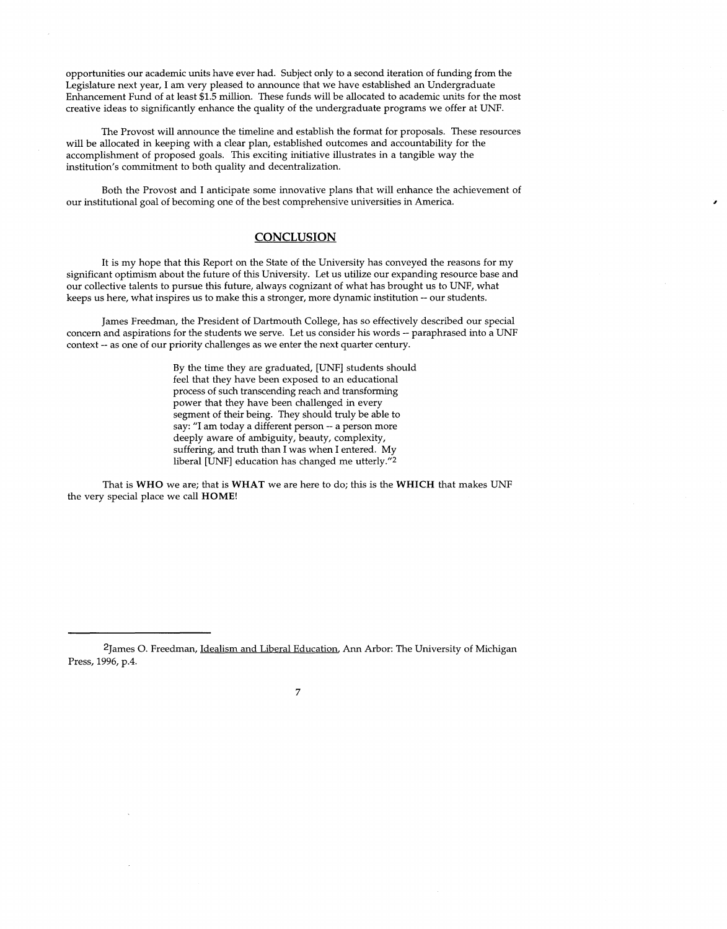opportunities our academic units have ever had. Subject only to a second iteration of funding from the Legislature next year, I am very pleased to announce that we have established an Undergraduate Enhancement Fund of at least \$1.5 million. These funds will be allocated to academic units for the most creative ideas to significantly enhance the quality of the undergraduate programs we offer at UNF.

The Provost will announce the timeline and establish the format for proposals. These resources will be allocated in keeping with a clear plan, established outcomes and accountability for the accomplishment of proposed goals. This exciting initiative illustrates in a tangible way the institution's commitment to both quality and decentralization.

Both the Provost and I anticipate some innovative plans that will enhance the achievement of our institutional goal of becoming one of the best comprehensive universities in America.

### **CONCLUSION**

It is my hope that this Report on the State of the University has conveyed the reasons for my significant optimism about the future of this University. Let us utilize our expanding resource base and our collective talents to pursue this future, always cognizant of what has brought us to UNF, what keeps us here, what inspires us to make this a stronger, more dynamic institution -- our students.

James Freedman, the President of Dartmouth College, has so effectively described our special concern and aspirations for the students we serve. Let us consider his words -- paraphrased into a UNF context -- as one of our priority challenges as we enter the next quarter century.

> By the time they are graduated, [UNF] students should feel that they have been exposed to an educational process of such transcending reach and transforming power that they have been challenged in every segment of their being. They should truly be able to say: "I am today a different person -- a person more deeply aware of ambiguity, beauty, complexity, suffering, and truth than I was when I entered. My liberal [UNF] education has changed me utterly."2

That is **WHO** we are; that is **WHAT** we are here to do; this is the **WHICH** that makes UNF the very special place we call **HOME!** 

<sup>2</sup>James 0. Freedman, Idealism and Liberal Education. Ann Arbor: The University of Michigan Press, 1996, p.4.